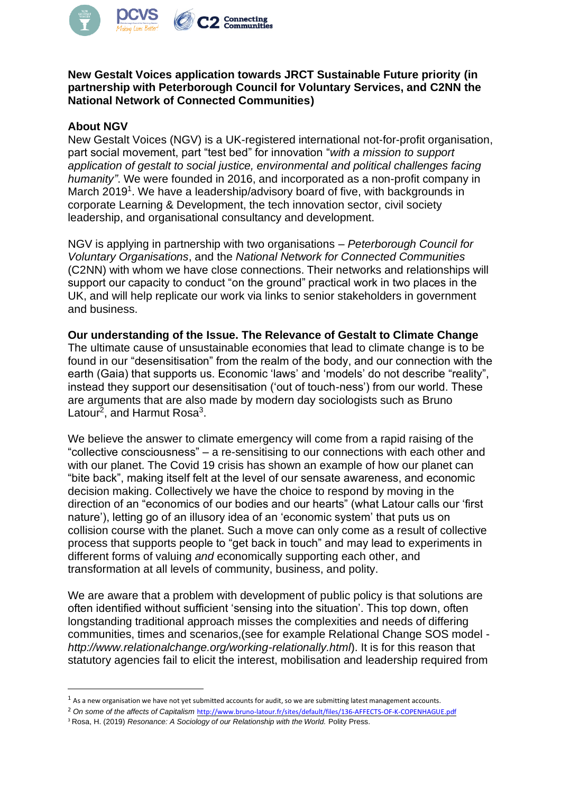

**New Gestalt Voices application towards JRCT Sustainable Future priority (in partnership with Peterborough Council for Voluntary Services, and C2NN the National Network of Connected Communities)** 

## **About NGV**

New Gestalt Voices (NGV) is a UK-registered international not-for-profit organisation, part social movement, part "test bed" for innovation "*with a mission to support application of gestalt to social justice, environmental and political challenges facing humanity"*. We were founded in 2016, and incorporated as a non-profit company in March 2019<sup>1</sup>. We have a leadership/advisory board of five, with backgrounds in corporate Learning & Development, the tech innovation sector, civil society leadership, and organisational consultancy and development.

NGV is applying in partnership with two organisations – *Peterborough Council for Voluntary Organisations*, and the *National Network for Connected Communities* (C2NN) with whom we have close connections. Their networks and relationships will support our capacity to conduct "on the ground" practical work in two places in the UK, and will help replicate our work via links to senior stakeholders in government and business.

**Our understanding of the Issue. The Relevance of Gestalt to Climate Change** The ultimate cause of unsustainable economies that lead to climate change is to be found in our "desensitisation" from the realm of the body, and our connection with the earth (Gaia) that supports us. Economic 'laws' and 'models' do not describe "reality", instead they support our desensitisation ('out of touch-ness') from our world. These are arguments that are also made by modern day sociologists such as Bruno Latour<sup>2</sup>, and Harmut Rosa<sup>3</sup>.

We believe the answer to climate emergency will come from a rapid raising of the "collective consciousness" – a re-sensitising to our connections with each other and with our planet. The Covid 19 crisis has shown an example of how our planet can "bite back", making itself felt at the level of our sensate awareness, and economic decision making. Collectively we have the choice to respond by moving in the direction of an "economics of our bodies and our hearts" (what Latour calls our 'first nature'), letting go of an illusory idea of an 'economic system' that puts us on collision course with the planet. Such a move can only come as a result of collective process that supports people to "get back in touch" and may lead to experiments in different forms of valuing *and* economically supporting each other, and transformation at all levels of community, business, and polity.

We are aware that a problem with development of public policy is that solutions are often identified without sufficient 'sensing into the situation'. This top down, often longstanding traditional approach misses the complexities and needs of differing communities, times and scenarios,(see for example Relational Change SOS model *http://www.relationalchange.org/working-relationally.html*). It is for this reason that statutory agencies fail to elicit the interest, mobilisation and leadership required from

 $1$  As a new organisation we have not yet submitted accounts for audit, so we are submitting latest management accounts.

<sup>2</sup> *On some of the affects of Capitalism* <http://www.bruno-latour.fr/sites/default/files/136-AFFECTS-OF-K-COPENHAGUE.pdf>

<sup>&</sup>lt;sup>3</sup> Rosa, H. (2019) *Resonance: A Sociology of our Relationship with the World. Polity Press.*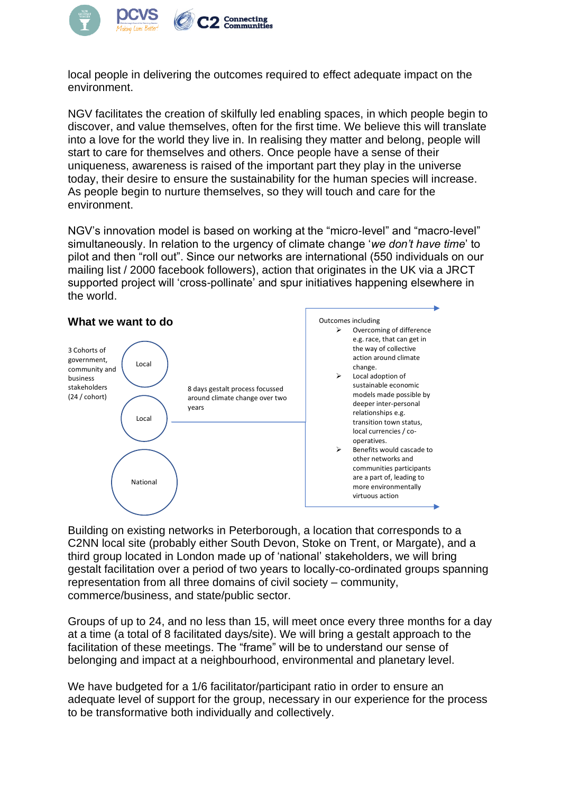

local people in delivering the outcomes required to effect adequate impact on the environment.

NGV facilitates the creation of skilfully led enabling spaces, in which people begin to discover, and value themselves, often for the first time. We believe this will translate into a love for the world they live in. In realising they matter and belong, people will start to care for themselves and others. Once people have a sense of their uniqueness, awareness is raised of the important part they play in the universe today, their desire to ensure the sustainability for the human species will increase. As people begin to nurture themselves, so they will touch and care for the environment.

NGV's innovation model is based on working at the "micro-level" and "macro-level" simultaneously. In relation to the urgency of climate change '*we don't have time*' to pilot and then "roll out". Since our networks are international (550 individuals on our mailing list / 2000 facebook followers), action that originates in the UK via a JRCT supported project will 'cross-pollinate' and spur initiatives happening elsewhere in the world.



Building on existing networks in Peterborough, a location that corresponds to a C2NN local site (probably either South Devon, Stoke on Trent, or Margate), and a third group located in London made up of 'national' stakeholders, we will bring gestalt facilitation over a period of two years to locally-co-ordinated groups spanning representation from all three domains of civil society – community, commerce/business, and state/public sector.

Groups of up to 24, and no less than 15, will meet once every three months for a day at a time (a total of 8 facilitated days/site). We will bring a gestalt approach to the facilitation of these meetings. The "frame" will be to understand our sense of belonging and impact at a neighbourhood, environmental and planetary level.

We have budgeted for a 1/6 facilitator/participant ratio in order to ensure an adequate level of support for the group, necessary in our experience for the process to be transformative both individually and collectively.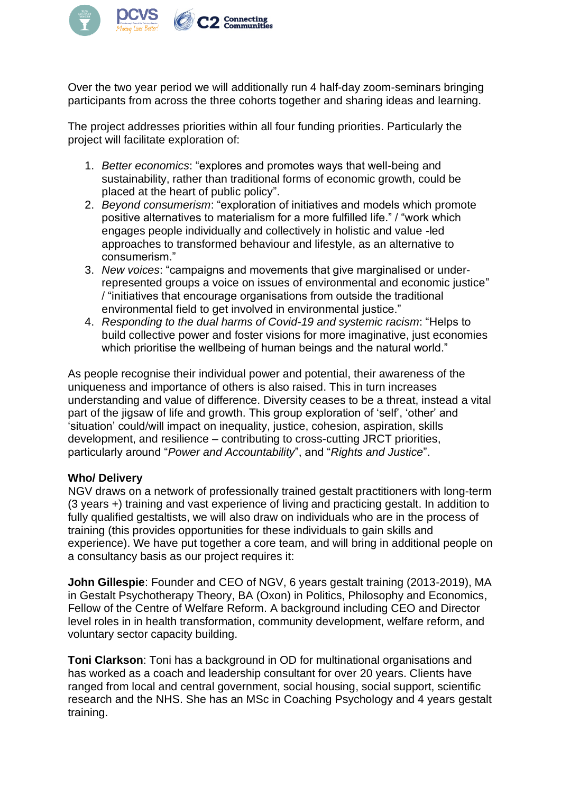

Over the two year period we will additionally run 4 half-day zoom-seminars bringing participants from across the three cohorts together and sharing ideas and learning.

The project addresses priorities within all four funding priorities. Particularly the project will facilitate exploration of:

- 1. *Better economics*: "explores and promotes ways that well-being and sustainability, rather than traditional forms of economic growth, could be placed at the heart of public policy".
- 2. *Beyond consumerism*: "exploration of initiatives and models which promote positive alternatives to materialism for a more fulfilled life." / "work which engages people individually and collectively in holistic and value -led approaches to transformed behaviour and lifestyle, as an alternative to consumerism."
- 3. *New voices*: "campaigns and movements that give marginalised or underrepresented groups a voice on issues of environmental and economic justice" / "initiatives that encourage organisations from outside the traditional environmental field to get involved in environmental justice."
- 4. *Responding to the dual harms of Covid-19 and systemic racism*: "Helps to build collective power and foster visions for more imaginative, just economies which prioritise the wellbeing of human beings and the natural world."

As people recognise their individual power and potential, their awareness of the uniqueness and importance of others is also raised. This in turn increases understanding and value of difference. Diversity ceases to be a threat, instead a vital part of the jigsaw of life and growth. This group exploration of 'self', 'other' and 'situation' could/will impact on inequality, justice, cohesion, aspiration, skills development, and resilience – contributing to cross-cutting JRCT priorities, particularly around "*Power and Accountability*", and "*Rights and Justice*".

## **Who/ Delivery**

NGV draws on a network of professionally trained gestalt practitioners with long-term (3 years +) training and vast experience of living and practicing gestalt. In addition to fully qualified gestaltists, we will also draw on individuals who are in the process of training (this provides opportunities for these individuals to gain skills and experience). We have put together a core team, and will bring in additional people on a consultancy basis as our project requires it:

**John Gillespie**: Founder and CEO of NGV, 6 years gestalt training (2013-2019), MA in Gestalt Psychotherapy Theory, BA (Oxon) in Politics, Philosophy and Economics, Fellow of the Centre of Welfare Reform. A background including CEO and Director level roles in in health transformation, community development, welfare reform, and voluntary sector capacity building.

**Toni Clarkson**: Toni has a background in OD for multinational organisations and has worked as a coach and leadership consultant for over 20 years. Clients have ranged from local and central government, social housing, social support, scientific research and the NHS. She has an MSc in Coaching Psychology and 4 years gestalt training.